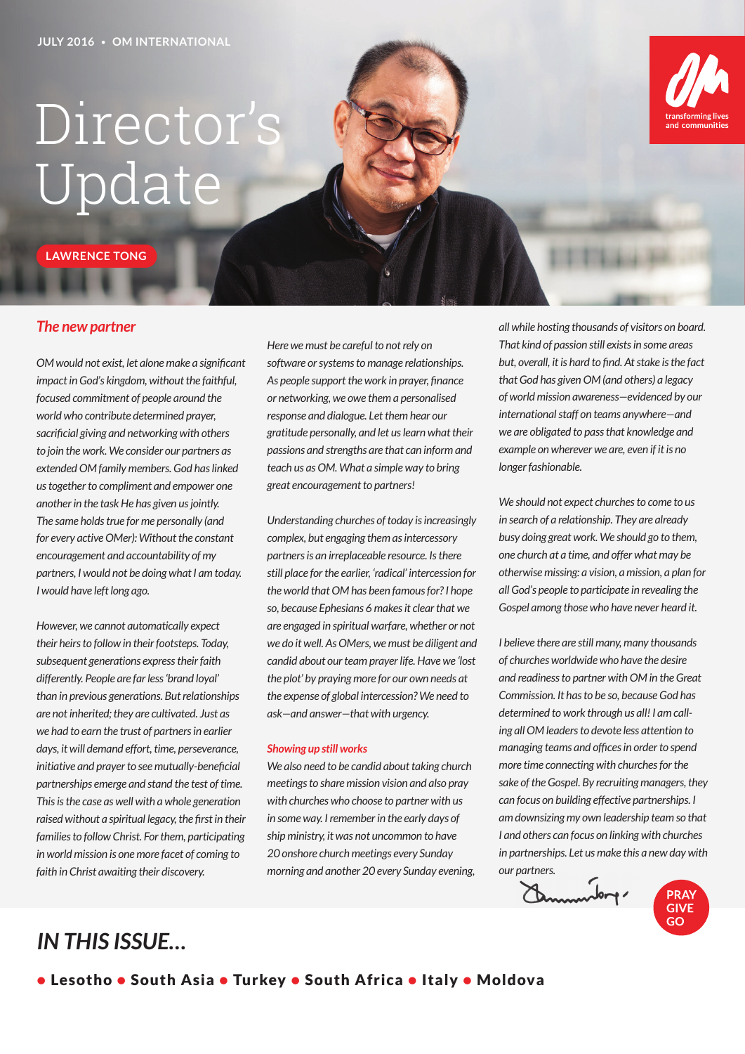## Director's Update

**LAWRENCE TONG**

#### *The new partner*

*OM would not exist, let alone make a significant impact in God's kingdom, without the faithful, focused commitment of people around the world who contribute determined prayer, sacrificial giving and networking with others to join the work. We consider our partners as extended OM family members. God has linked us together to compliment and empower one another in the task He has given us jointly. The same holds true for me personally (and for every active OMer): Without the constant encouragement and accountability of my partners, I would not be doing what I am today. I would have left long ago.* 

*However, we cannot automatically expect their heirs to follow in their footsteps. Today, subsequent generations express their faith differently. People are far less 'brand loyal' than in previous generations. But relationships are not inherited; they are cultivated. Just as we had to earn the trust of partners in earlier days, it will demand effort, time, perseverance, initiative and prayer to see mutually-beneficial partnerships emerge and stand the test of time. This is the case as well with a whole generation raised without a spiritual legacy, the first in their families to follow Christ. For them, participating in world mission is one more facet of coming to faith in Christ awaiting their discovery.* 

*Here we must be careful to not rely on software or systems to manage relationships. As people support the work in prayer, finance or networking, we owe them a personalised response and dialogue. Let them hear our gratitude personally, and let us learn what their passions and strengths are that can inform and teach us as OM. What a simple way to bring great encouragement to partners!* 

*Understanding churches of today is increasingly complex, but engaging them as intercessory partners is an irreplaceable resource. Is there still place for the earlier, 'radical' intercession for the world that OM has been famous for? I hope so, because Ephesians 6 makes it clear that we are engaged in spiritual warfare, whether or not we do it well. As OMers, we must be diligent and candid about our team prayer life. Have we 'lost the plot' by praying more for our own needs at the expense of global intercession? We need to ask—and answer—that with urgency.* 

#### *Showing up still works*

*We also need to be candid about taking church meetings to share mission vision and also pray with churches who choose to partner with us in some way. I remember in the early days of ship ministry, it was not uncommon to have 20 onshore church meetings every Sunday morning and another 20 every Sunday evening,*  *all while hosting thousands of visitors on board. That kind of passion still exists in some areas but, overall, it is hard to find. At stake is the fact that God has given OM (and others) a legacy of world mission awareness—evidenced by our international staff on teams anywhere—and we are obligated to pass that knowledge and example on wherever we are, even if it is no longer fashionable.*

communitie

*We should not expect churches to come to us in search of a relationship. They are already busy doing great work. We should go to them, one church at a time, and offer what may be otherwise missing: a vision, a mission, a plan for all God's people to participate in revealing the Gospel among those who have never heard it.* 

*I believe there are still many, many thousands of churches worldwide who have the desire and readiness to partner with OM in the Great Commission. It has to be so, because God has determined to work through us all! I am calling all OM leaders to devote less attention to managing teams and offices in order to spend more time connecting with churches for the sake of the Gospel. By recruiting managers, they can focus on building effective partnerships. I am downsizing my own leadership team so that I and others can focus on linking with churches in partnerships. Let us make this a new day with our partners.*

inder **PRAY GIVE** GO

## *IN THIS ISSUE…*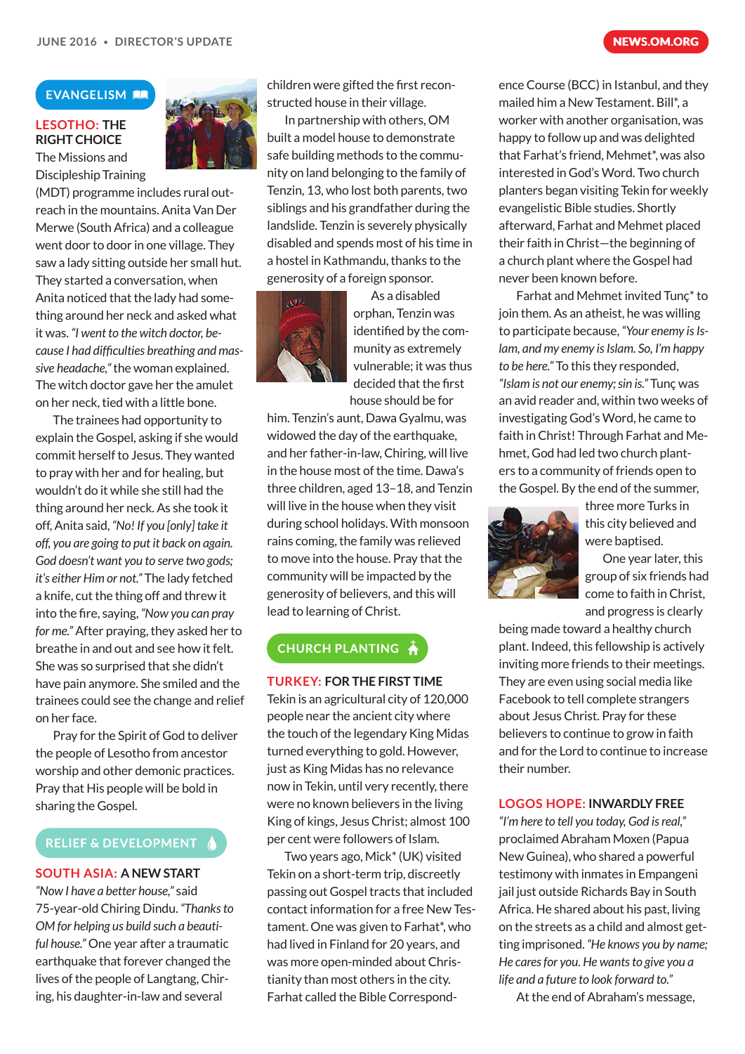#### **EVANGELISM AN**

### **LESOTHO: THE RIGHT CHOICE**

The Missions and Discipleship Training

(MDT) programme includes rural outreach in the mountains. Anita Van Der Merwe (South Africa) and a colleague went door to door in one village. They saw a lady sitting outside her small hut. They started a conversation, when Anita noticed that the lady had something around her neck and asked what it was. *"I went to the witch doctor, because I had difficulties breathing and massive headache,"* the woman explained. The witch doctor gave her the amulet on her neck, tied with a little bone.

The trainees had opportunity to explain the Gospel, asking if she would commit herself to Jesus. They wanted to pray with her and for healing, but wouldn't do it while she still had the thing around her neck. As she took it off, Anita said, *"No! If you [only] take it off, you are going to put it back on again. God doesn't want you to serve two gods; it's either Him or not."* The lady fetched a knife, cut the thing off and threw it into the fire, saying, *"Now you can pray for me."* After praying, they asked her to breathe in and out and see how it felt. She was so surprised that she didn't have pain anymore. She smiled and the trainees could see the change and relief on her face.

Pray for the Spirit of God to deliver the people of Lesotho from ancestor worship and other demonic practices. Pray that His people will be bold in sharing the Gospel.

#### **RELIEF & DEVELOPMENT**

#### **SOUTH ASIA: A NEW START**

*"Now I have a better house,"* said 75-year-old Chiring Dindu. *"Thanks to OM for helping us build such a beautiful house."* One year after a traumatic earthquake that forever changed the lives of the people of Langtang, Chiring, his daughter-in-law and several

children were gifted the first reconstructed house in their village.

In partnership with others, OM built a model house to demonstrate safe building methods to the community on land belonging to the family of Tenzin, 13, who lost both parents, two siblings and his grandfather during the landslide. Tenzin is severely physically disabled and spends most of his time in a hostel in Kathmandu, thanks to the generosity of a foreign sponsor.



As a disabled orphan, Tenzin was identified by the community as extremely vulnerable; it was thus decided that the first house should be for

him. Tenzin's aunt, Dawa Gyalmu, was widowed the day of the earthquake, and her father-in-law, Chiring, will live in the house most of the time. Dawa's three children, aged 13–18, and Tenzin will live in the house when they visit during school holidays. With monsoon rains coming, the family was relieved to move into the house. Pray that the community will be impacted by the generosity of believers, and this will lead to learning of Christ.

### **CHURCH PLANTING**

**TURKEY: FOR THE FIRST TIME**

Tekin is an agricultural city of 120,000 people near the ancient city where the touch of the legendary King Midas turned everything to gold. However, just as King Midas has no relevance now in Tekin, until very recently, there were no known believers in the living King of kings, Jesus Christ; almost 100 per cent were followers of Islam.

Two years ago, Mick\* (UK) visited Tekin on a short-term trip, discreetly passing out Gospel tracts that included contact information for a free New Testament. One was given to Farhat\*, who had lived in Finland for 20 years, and was more open-minded about Christianity than most others in the city. Farhat called the Bible Correspond-

ence Course (BCC) in Istanbul, and they mailed him a New Testament. Bill\*, a worker with another organisation, was happy to follow up and was delighted that Farhat's friend, Mehmet\*, was also interested in God's Word. Two church planters began visiting Tekin for weekly evangelistic Bible studies. Shortly afterward, Farhat and Mehmet placed their faith in Christ—the beginning of a church plant where the Gospel had never been known before.

Farhat and Mehmet invited Tunç\* to join them. As an atheist, he was willing to participate because, *"Your enemy is Islam, and my enemy is Islam. So, I'm happy to be here."* To this they responded, *"Islam is not our enemy; sin is."* Tunç was an avid reader and, within two weeks of investigating God's Word, he came to faith in Christ! Through Farhat and Mehmet, God had led two church planters to a community of friends open to the Gospel. By the end of the summer,



three more Turks in this city believed and were baptised.

One year later, this group of six friends had come to faith in Christ, and progress is clearly

being made toward a healthy church plant. Indeed, this fellowship is actively inviting more friends to their meetings. They are even using social media like Facebook to tell complete strangers about Jesus Christ. Pray for these believers to continue to grow in faith and for the Lord to continue to increase their number.

#### **LOGOS HOPE: INWARDLY FREE**

*"I'm here to tell you today, God is real,"*  proclaimed Abraham Moxen (Papua New Guinea), who shared a powerful testimony with inmates in Empangeni jail just outside Richards Bay in South Africa. He shared about his past, living on the streets as a child and almost getting imprisoned. *"He knows you by name; He cares for you. He wants to give you a life and a future to look forward to."*

At the end of Abraham's message,

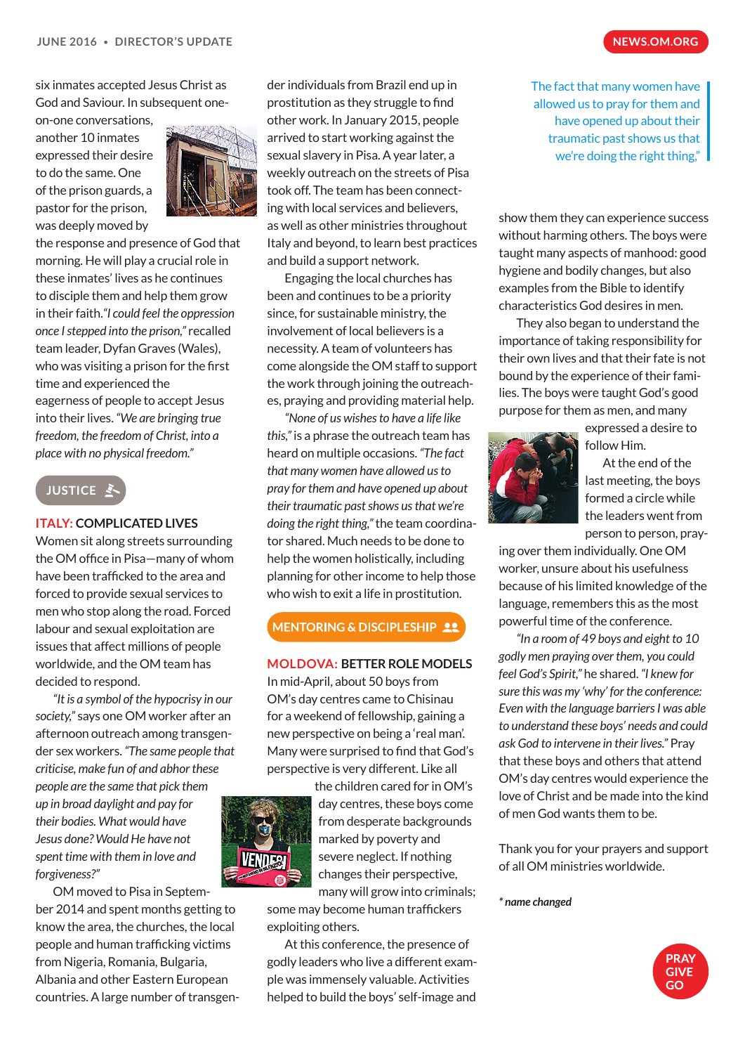six inmates accepted Jesus Christ as God and Saviour. In subsequent one-

on-one conversations, another 10 inmates expressed their desire to do the same. One of the prison guards, a pastor for the prison, was deeply moved by



the response and presence of God that morning. He will play a crucial role in these inmates' lives as he continues to disciple them and help them grow in their faith.*"I could feel the oppression once I stepped into the prison,"* recalled team leader, Dyfan Graves (Wales), who was visiting a prison for the first time and experienced the

eagerness of people to accept Jesus into their lives. *"We are bringing true freedom, the freedom of Christ, into a place with no physical freedom."*



#### **ITALY: COMPLICATED LIVES**

Women sit along streets surrounding the OM office in Pisa—many of whom have been trafficked to the area and forced to provide sexual services to men who stop along the road. Forced labour and sexual exploitation are issues that affect millions of people worldwide, and the OM team has decided to respond.

*"It is a symbol of the hypocrisy in our society,"* says one OM worker after an afternoon outreach among transgender sex workers. *"The same people that criticise, make fun of and abhor these people are the same that pick them up in broad daylight and pay for their bodies. What would have Jesus done? Would He have not spent time with them in love and forgiveness?"*

OM moved to Pisa in September 2014 and spent months getting to know the area, the churches, the local people and human trafficking victims from Nigeria, Romania, Bulgaria, Albania and other Eastern European countries. A large number of transgen-

der individuals from Brazil end up in prostitution as they struggle to find other work. In January 2015, people arrived to start working against the sexual slavery in Pisa. A year later, a weekly outreach on the streets of Pisa took off. The team has been connecting with local services and believers, as well as other ministries throughout Italy and beyond, to learn best practices and build a support network.

Engaging the local churches has been and continues to be a priority since, for sustainable ministry, the involvement of local believers is a necessity. A team of volunteers has come alongside the OM staff to support the work through joining the outreaches, praying and providing material help.

*"None of us wishes to have a life like this,"* is a phrase the outreach team has heard on multiple occasions. *"The fact that many women have allowed us to pray for them and have opened up about their traumatic past shows us that we're doing the right thing,"* the team coordinator shared. Much needs to be done to help the women holistically, including planning for other income to help those who wish to exit a life in prostitution.

### **MENTORING & DISCIPLESHIP 22**

#### **MOLDOVA: BETTER ROLE MODELS**

In mid-April, about 50 boys from OM's day centres came to Chisinau for a weekend of fellowship, gaining a new perspective on being a 'real man'. Many were surprised to find that God's perspective is very different. Like all



the children cared for in OM's day centres, these boys come from desperate backgrounds marked by poverty and severe neglect. If nothing changes their perspective, many will grow into criminals;

some may become human traffickers exploiting others.

At this conference, the presence of godly leaders who live a different example was immensely valuable. Activities helped to build the boys' self-image and

The fact that many women have allowed us to pray for them and have opened up about their traumatic past shows us that we're doing the right thing,"

show them they can experience success without harming others. The boys were taught many aspects of manhood: good hygiene and bodily changes, but also examples from the Bible to identify characteristics God desires in men.

They also began to understand the importance of taking responsibility for their own lives and that their fate is not bound by the experience of their families. The boys were taught God's good purpose for them as men, and many



expressed a desire to follow Him.

At the end of the last meeting, the boys formed a circle while the leaders went from person to person, pray-

ing over them individually. One OM worker, unsure about his usefulness because of his limited knowledge of the language, remembers this as the most powerful time of the conference.

*"In a room of 49 boys and eight to 10 godly men praying over them, you could feel God's Spirit,"* he shared. *"I knew for sure this was my 'why' for the conference: Even with the language barriers I was able to understand these boys' needs and could ask God to intervene in their lives."* Pray that these boys and others that attend OM's day centres would experience the love of Christ and be made into the kind of men God wants them to be.

Thank you for your prayers and support of all OM ministries worldwide.

#### *\* name changed*